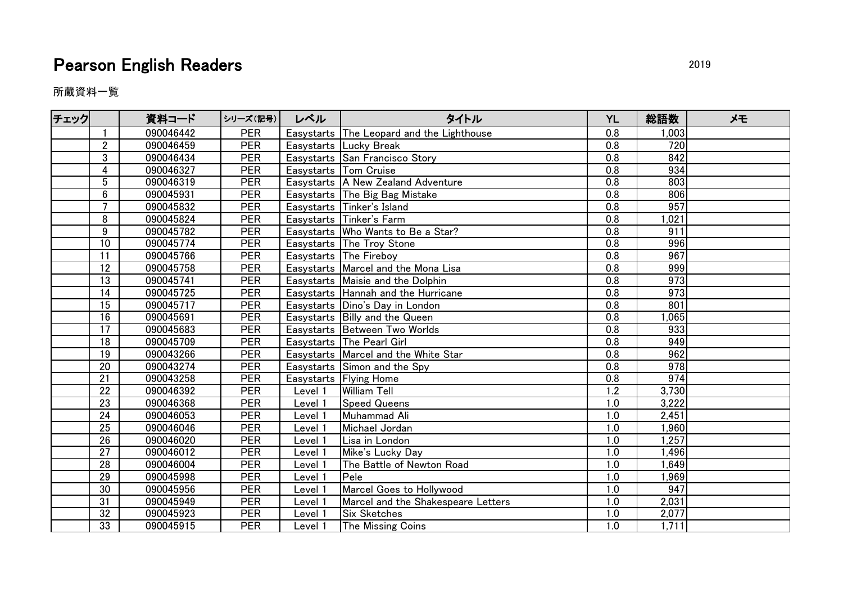## Pearson English Readers 2019

所蔵資料一覧

| チェック |                 | 資料コード     | シリーズ(記号)   | レベル     | タイトル                                      | <b>YL</b>        | 総語数              | メモ |
|------|-----------------|-----------|------------|---------|-------------------------------------------|------------------|------------------|----|
|      |                 | 090046442 | <b>PER</b> |         | Easystarts The Leopard and the Lighthouse | 0.8              | 1,003            |    |
|      | $\overline{2}$  | 090046459 | <b>PER</b> |         | Easystarts Lucky Break                    | 0.8              | 720              |    |
|      | 3               | 090046434 | <b>PER</b> |         | Easystarts San Francisco Story            | 0.8              | 842              |    |
|      | 4               | 090046327 | <b>PER</b> |         | Easystarts Tom Cruise                     | 0.8              | 934              |    |
|      | 5               | 090046319 | <b>PER</b> |         | Easystarts   A New Zealand Adventure      | 0.8              | 803              |    |
|      | 6               | 090045931 | <b>PER</b> |         | Easystarts The Big Bag Mistake            | 0.8              | 806              |    |
|      | $\overline{7}$  | 090045832 | <b>PER</b> |         | Easystarts Tinker's Island                | 0.8              | 957              |    |
|      | 8               | 090045824 | <b>PER</b> |         | Easystarts Tinker's Farm                  | 0.8              | 1,021            |    |
|      | 9               | 090045782 | <b>PER</b> |         | Easystarts   Who Wants to Be a Star?      | 0.8              | 911              |    |
|      | 10              | 090045774 | <b>PER</b> |         | Easystarts The Troy Stone                 | 0.8              | 996              |    |
|      | 11              | 090045766 | <b>PER</b> |         | <b>Easystarts The Fireboy</b>             | 0.8              | 967              |    |
|      | 12              | 090045758 | <b>PER</b> |         | Easystarts   Marcel and the Mona Lisa     | 0.8              | 999              |    |
|      | 13              | 090045741 | <b>PER</b> |         | Easystarts Maisie and the Dolphin         | 0.8              | 973              |    |
|      | $\overline{14}$ | 090045725 | <b>PER</b> |         | Easystarts Hannah and the Hurricane       | 0.8              | 973              |    |
|      | 15              | 090045717 | <b>PER</b> |         | Easystarts Dino's Day in London           | 0.8              | 801              |    |
|      | 16              | 090045691 | <b>PER</b> |         | Easystarts Billy and the Queen            | 0.8              | 1,065            |    |
|      | $\overline{17}$ | 090045683 | PER        |         | Easystarts   Between Two Worlds           | $\overline{0.8}$ | 933              |    |
|      | 18              | 090045709 | <b>PER</b> |         | Easystarts   The Pearl Girl               | 0.8              | 949              |    |
|      | 19              | 090043266 | <b>PER</b> |         | Easystarts   Marcel and the White Star    | 0.8              | 962              |    |
|      | 20              | 090043274 | <b>PER</b> |         | Easystarts Simon and the Spy              | 0.8              | $\overline{978}$ |    |
|      | 21              | 090043258 | <b>PER</b> |         | Easystarts   Flying Home                  | 0.8              | 974              |    |
|      | 22              | 090046392 | <b>PER</b> | Level 1 | <b>William Tell</b>                       | 1.2              | 3,730            |    |
|      | 23              | 090046368 | <b>PER</b> | Level 1 | Speed Queens                              | 1.0              | 3,222            |    |
|      | 24              | 090046053 | PER        | Level 1 | Muhammad Ali                              | 1.0              | 2,451            |    |
|      | 25              | 090046046 | <b>PER</b> | Level 1 | Michael Jordan                            | 1.0              | 1,960            |    |
|      | 26              | 090046020 | <b>PER</b> | Level 1 | Lisa in London                            | 1.0              | 1,257            |    |
|      | 27              | 090046012 | <b>PER</b> | Level 1 | Mike's Lucky Day                          | 1.0              | 1,496            |    |
|      | 28              | 090046004 | <b>PER</b> | Level 1 | The Battle of Newton Road                 | 1.0              | 1,649            |    |
|      | 29              | 090045998 | <b>PER</b> | Level 1 | Pele                                      | 1.0              | 1,969            |    |
|      | 30              | 090045956 | <b>PER</b> | Level 1 | Marcel Goes to Hollywood                  | 1.0              | 947              |    |
|      | 31              | 090045949 | <b>PER</b> | Level 1 | Marcel and the Shakespeare Letters        | 1.0              | 2,031            |    |
|      | 32              | 090045923 | <b>PER</b> | Level 1 | <b>Six Sketches</b>                       | 1.0              | 2,077            |    |
|      | 33              | 090045915 | PER        | Level 1 | The Missing Coins                         | 1.0              | 1,711            |    |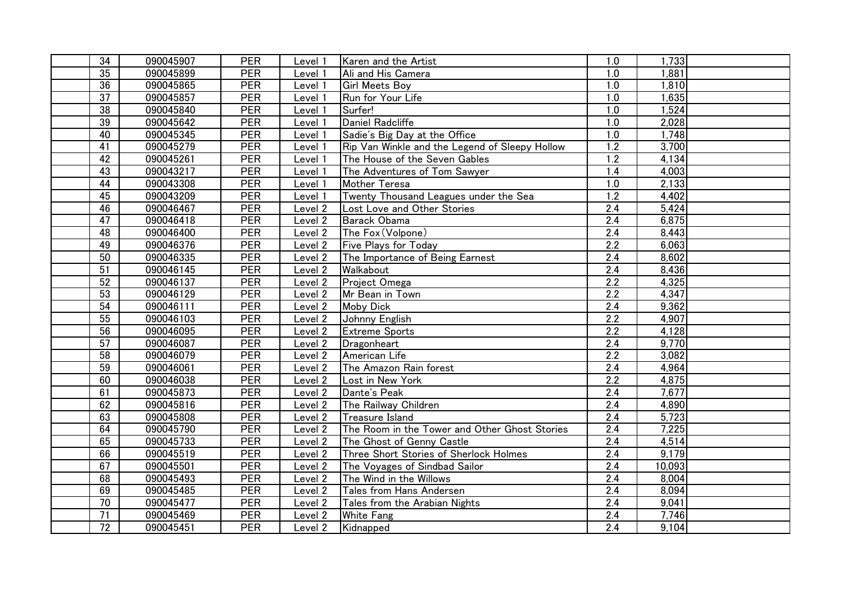| 34              | 090045907 | <b>PER</b> | Level 1            | Karen and the Artist                           | 1.0              | 1,733  |  |
|-----------------|-----------|------------|--------------------|------------------------------------------------|------------------|--------|--|
| 35              | 090045899 | PER        | Level 1            | Ali and His Camera                             | 1.0              | 1,881  |  |
| 36              | 090045865 | PER        | Level 1            | <b>Girl Meets Boy</b>                          | 1.0              | 1,810  |  |
| 37              | 090045857 | <b>PER</b> | Level 1            | Run for Your Life                              | 1.0              | 1,635  |  |
| $\overline{38}$ | 090045840 | PER        | Level 1            | Surfer!                                        | 1.0              | 1,524  |  |
| 39              | 090045642 | <b>PER</b> | Level 1            | Daniel Radcliffe                               | 1.0              | 2,028  |  |
| 40              | 090045345 | PER        | Level 1            | Sadie's Big Day at the Office                  | 1.0              | 1,748  |  |
| $\overline{41}$ | 090045279 | PER        | Level 1            | Rip Van Winkle and the Legend of Sleepy Hollow | $\overline{1.2}$ | 3,700  |  |
| 42              | 090045261 | <b>PER</b> | Level 1            | The House of the Seven Gables                  | 1.2              | 4,134  |  |
| 43              | 090043217 | PER        | Level 1            | The Adventures of Tom Sawyer                   | 1.4              | 4,003  |  |
| 44              | 090043308 | <b>PER</b> | Level 1            | Mother Teresa                                  | 1.0              | 2,133  |  |
| 45              | 090043209 | <b>PER</b> | Level 1            | Twenty Thousand Leagues under the Sea          | 1.2              | 4,402  |  |
| 46              | 090046467 | <b>PER</b> | Level 2            | Lost Love and Other Stories                    | $\overline{2.4}$ | 5,424  |  |
| 47              | 090046418 | <b>PER</b> | Level 2            | <b>Barack Obama</b>                            | $\overline{2.4}$ | 6,875  |  |
| 48              | 090046400 | <b>PER</b> | Level <sub>2</sub> | The Fox (Volpone)                              | 2.4              | 8,443  |  |
| 49              | 090046376 | <b>PER</b> | Level <sub>2</sub> | <b>Five Plays for Today</b>                    | $\overline{2.2}$ | 6,063  |  |
| 50              | 090046335 | <b>PER</b> | Level 2            | The Importance of Being Earnest                | 2.4              | 8,602  |  |
| 51              | 090046145 | <b>PER</b> | Level 2            | Walkabout                                      | 2.4              | 8,436  |  |
| 52              | 090046137 | PER        | Level 2            | Project Omega                                  | $\overline{2.2}$ | 4,325  |  |
| 53              | 090046129 | <b>PER</b> | Level 2            | Mr Bean in Town                                | 2.2              | 4,347  |  |
| 54              | 090046111 | <b>PER</b> | Level 2            | <b>Moby Dick</b>                               | 2.4              | 9,362  |  |
| 55              | 090046103 | <b>PER</b> | Level 2            | Johnny English                                 | 2.2              | 4,907  |  |
| 56              | 090046095 | <b>PER</b> | Level 2            | <b>Extreme Sports</b>                          | 2.2              | 4,128  |  |
| $\overline{57}$ | 090046087 | <b>PER</b> | Level 2            | Dragonheart                                    | 2.4              | 9,770  |  |
| 58              | 090046079 | <b>PER</b> | Level 2            | American Life                                  | 2.2              | 3,082  |  |
| 59              | 090046061 | <b>PER</b> | Level 2            | The Amazon Rain forest                         | 2.4              | 4,964  |  |
| 60              | 090046038 | <b>PER</b> | Level 2            | Lost in New York                               | 2.2              | 4,875  |  |
| 61              | 090045873 | <b>PER</b> | Level 2            | Dante's Peak                                   | $\overline{2.4}$ | 7,677  |  |
| 62              | 090045816 | <b>PER</b> | Level 2            | The Railway Children                           | 2.4              | 4,890  |  |
| 63              | 090045808 | <b>PER</b> | Level 2            | Treasure Island                                | 2.4              | 5,723  |  |
| 64              | 090045790 | PER        | Level 2            | The Room in the Tower and Other Ghost Stories  | 2.4              | 7,225  |  |
| 65              | 090045733 | PER        | Level 2            | The Ghost of Genny Castle                      | 2.4              | 4,514  |  |
| 66              | 090045519 | PER        | Level 2            | Three Short Stories of Sherlock Holmes         | 2.4              | 9,179  |  |
| 67              | 090045501 | <b>PER</b> | Level 2            | The Voyages of Sindbad Sailor                  | $\overline{2.4}$ | 10,093 |  |
| 68              | 090045493 | <b>PER</b> | Level 2            | The Wind in the Willows                        | 2.4              | 8,004  |  |
| 69              | 090045485 | <b>PER</b> | Level 2            | Tales from Hans Andersen                       | 2.4              | 8,094  |  |
| $\overline{70}$ | 090045477 | <b>PER</b> | Level 2            | Tales from the Arabian Nights                  | 2.4              | 9,041  |  |
| 71              | 090045469 | <b>PER</b> | Level 2            | <b>White Fang</b>                              | 2.4              | 7,746  |  |
| 72              | 090045451 | <b>PER</b> | Level 2            | Kidnapped                                      | 2.4              | 9,104  |  |
|                 |           |            |                    |                                                |                  |        |  |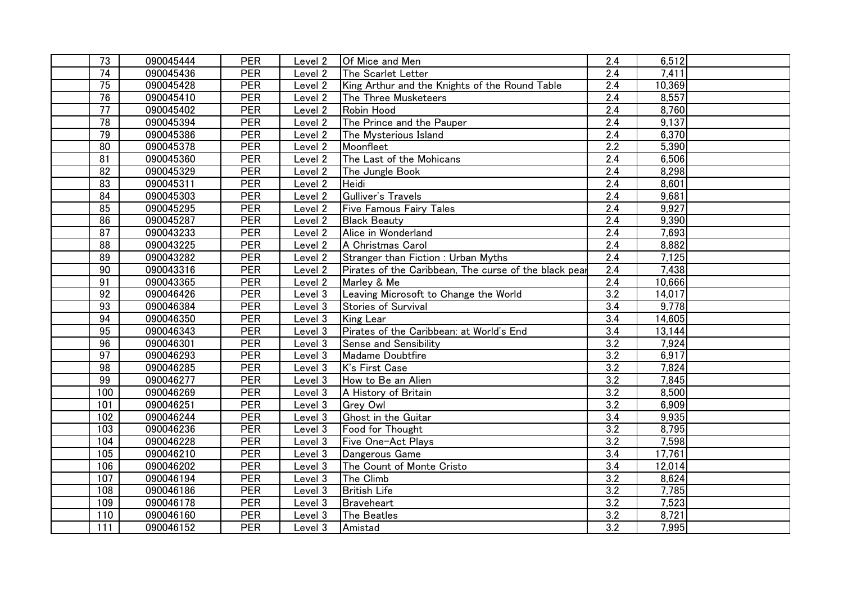| 73              | 090045444 | <b>PER</b> | Level 2            | Of Mice and Men                                       | 2.4              | 6,512  |  |
|-----------------|-----------|------------|--------------------|-------------------------------------------------------|------------------|--------|--|
| 74              | 090045436 | <b>PER</b> | Level 2            | The Scarlet Letter                                    | $\overline{2.4}$ | 7,411  |  |
| $\overline{75}$ | 090045428 | <b>PER</b> | Level 2            | King Arthur and the Knights of the Round Table        | 2.4              | 10,369 |  |
| 76              | 090045410 | <b>PER</b> | Level 2            | The Three Musketeers                                  | 2.4              | 8,557  |  |
| 77              | 090045402 | <b>PER</b> | Level 2            | Robin Hood                                            | 2.4              | 8,760  |  |
| 78              | 090045394 | <b>PER</b> | Level 2            | The Prince and the Pauper                             | $\overline{2.4}$ | 9,137  |  |
| 79              | 090045386 | <b>PER</b> | Level 2            | The Mysterious Island                                 | 2.4              | 6,370  |  |
| 80              | 090045378 | <b>PER</b> | Level 2            | Moonfleet                                             | $\overline{2.2}$ | 5,390  |  |
| 81              | 090045360 | <b>PER</b> | Level 2            | The Last of the Mohicans                              | 2.4              | 6,506  |  |
| 82              | 090045329 | <b>PER</b> | Level 2            | The Jungle Book                                       | 2.4              | 8,298  |  |
| 83              | 090045311 | <b>PER</b> | Level 2            | Heidi                                                 | 2.4              | 8,601  |  |
| 84              | 090045303 | <b>PER</b> | Level 2            | Gulliver's Travels                                    | 2.4              | 9,681  |  |
| 85              | 090045295 | <b>PER</b> | Level 2            | <b>Five Famous Fairy Tales</b>                        | $\overline{2.4}$ | 9,927  |  |
| 86              | 090045287 | PER        | Level 2            | <b>Black Beauty</b>                                   | $\overline{2.4}$ | 9,390  |  |
| 87              | 090043233 | <b>PER</b> | Level <sub>2</sub> | Alice in Wonderland                                   | 2.4              | 7,693  |  |
| 88              | 090043225 | <b>PER</b> | Level 2            | A Christmas Carol                                     | 2.4              | 8,882  |  |
| 89              | 090043282 | <b>PER</b> | Level 2            | Stranger than Fiction: Urban Myths                    | 2.4              | 7,125  |  |
| 90              | 090043316 | <b>PER</b> | Level 2            | Pirates of the Caribbean, The curse of the black pear | 2.4              | 7,438  |  |
| 91              | 090043365 | <b>PER</b> | Level 2            | Marley & Me                                           | 2.4              | 10,666 |  |
| 92              | 090046426 | <b>PER</b> | Level 3            | Leaving Microsoft to Change the World                 | 3.2              | 14,017 |  |
| 93              | 090046384 | <b>PER</b> | Level 3            | Stories of Survival                                   | 3.4              | 9,778  |  |
| 94              | 090046350 | PER        | Level 3            | <b>King Lear</b>                                      | 3.4              | 14,605 |  |
| 95              | 090046343 | <b>PER</b> | Level 3            | Pirates of the Caribbean: at World's End              | 3.4              | 13,144 |  |
| 96              | 090046301 | <b>PER</b> | Level 3            | Sense and Sensibility                                 | $\overline{3.2}$ | 7,924  |  |
| 97              | 090046293 | PER        | Level 3            | Madame Doubtfire                                      | $\overline{3.2}$ | 6,917  |  |
| 98              | 090046285 | <b>PER</b> | Level 3            | K's First Case                                        | $\overline{3.2}$ | 7,824  |  |
| 99              | 090046277 | <b>PER</b> | Level 3            | How to Be an Alien                                    | $\overline{3.2}$ | 7,845  |  |
| 100             | 090046269 | <b>PER</b> | Level 3            | A History of Britain                                  | 3.2              | 8,500  |  |
| 101             | 090046251 | <b>PER</b> | Level 3            | <b>Grey Owl</b>                                       | 3.2              | 6,909  |  |
| 102             | 090046244 | <b>PER</b> | Level 3            | Ghost in the Guitar                                   | 3.4              | 9,935  |  |
| 103             | 090046236 | <b>PER</b> | Level 3            | Food for Thought                                      | 3.2              | 8,795  |  |
| 104             | 090046228 | <b>PER</b> | Level 3            | Five One-Act Plays                                    | 3.2              | 7,598  |  |
| 105             | 090046210 | <b>PER</b> | Level 3            | Dangerous Game                                        | 3.4              | 17,761 |  |
| 106             | 090046202 | <b>PER</b> | Level 3            | The Count of Monte Cristo                             | 3.4              | 12,014 |  |
| 107             | 090046194 | <b>PER</b> | Level 3            | The Climb                                             | 3.2              | 8,624  |  |
| 108             | 090046186 | <b>PER</b> | Level <sub>3</sub> | <b>British Life</b>                                   | 3.2              | 7,785  |  |
| 109             | 090046178 | <b>PER</b> | Level 3            | Braveheart                                            | 3.2              | 7,523  |  |
| 110             | 090046160 | <b>PER</b> | Level 3            | The Beatles                                           | 3.2              | 8,721  |  |
| 111             | 090046152 | <b>PER</b> | Level 3            | Amistad                                               | 3.2              | 7,995  |  |
|                 |           |            |                    |                                                       |                  |        |  |